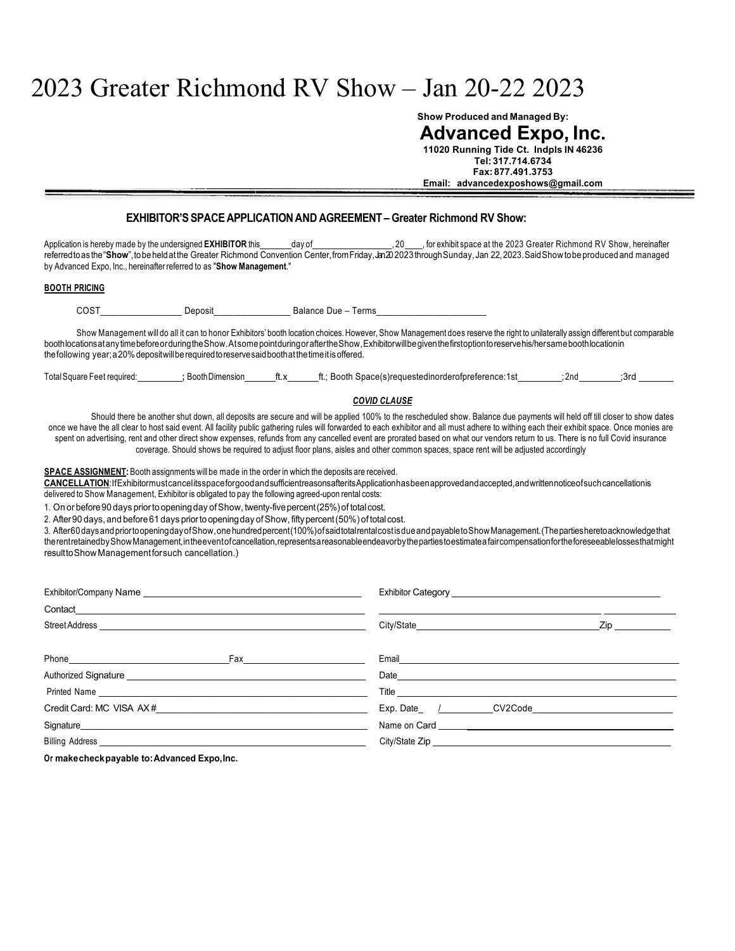# 2023 Greater Richmond RV Show – Jan 20-22 2023

**Show Produced and Managed By:**

**Advanced Expo, Inc. 11020 Running Tide Ct. Indpls IN 46236 Tel: 317.714.6734**

**Fax: 877.491.3753 Email: advancedexposhows@gmail.com**

# **EXHIBITOR'SSPACE APPLICATION AND AGREEMENT – Greater Richmond RV Show:**

Application is hereby made by the undersigned **EXHIBITOR** this day of \_, 20 , for exhibit space at the 2023 Greater Richmond RV Show, hereinafter referredtoas the "Show", tobe held at the Greater Richmond Convention Center, from Friday, Jan 2023 through Sunday, Jan 22, 2023. Said Show to be produced and managed by Advanced Expo, Inc., hereinafter referred to as "**Show Management**."

#### **BOOTH PRICING**

COST Deposit Balance Due – Terms

Show Management will do all it can to honor Exhibitors' booth location choices. However, Show Management does reserve the right to unilaterally assign different but comparable boothlocationsatanytimebeforeorduringtheShow.AtsomepointduringoraftertheShow,Exhibitorwillbegiventhefirstoptiontoreservehis/hersameboothlocationin thefollowing year;a20%depositwillberequiredtoreservesaidboothatthetimeitisoffered.

| <b>Total Square Feet required:</b> | Booth Dimension | ft.x | <br>Booth.<br>. | Space(s)requestedinorderofpreference:1st | 2nd | .3rd |  |
|------------------------------------|-----------------|------|-----------------|------------------------------------------|-----|------|--|
|                                    |                 |      |                 |                                          |     |      |  |

## *COVID CLAUSE*

Should there be another shut down, all deposits are secure and will be applied 100% to the rescheduled show. Balance due payments will held off till closer to show dates once we have the all clear to host said event. All facility public gathering rules will forwarded to each exhibitor and all must adhere to withing each their exhibit space. Once monies are spent on advertising, rent and other direct show expenses, refunds from any cancelled event are prorated based on what our vendors return to us. There is no full Covid insurance coverage. Should shows be required to adjust floor plans, aisles and other common spaces, space rent will be adjusted accordingly

**SPACE ASSIGNMENT:** Booth assignments will be made in the order in which the deposits are received.

**CANCELLATION**:IfExhibitormustcancelitsspaceforgoodandsufficientreasonsafteritsApplicationhasbeenapprovedandaccepted,andwrittennoticeofsuchcancellationis delivered to Show Management, Exhibitor is obligated to pay the following agreed-upon rental costs:

1. On or before 90 days prior to opening day of Show, twenty-five percent (25%) of total cost.

2. After 90 days, and before 61 days prior to opening day of Show, fifty percent (50%) of total cost.

3. After60daysandpriortoopeningdayofShow,onehundredpercent(100%)ofsaidtotalrentalcostisdueandpayabletoShowManagement.(Thepartiesheretoacknowledgethat therentretainedbyShowManagement,intheeventofcancellation,representsareasonableendeavorbythepartiestoestimateafaircompensationfortheforeseeablelossesthatmight resulttoShowManagementforsuch cancellation.)

|  | Zip in the set of the set of the set of the set of the set of the set of the set of the set of the set of the                                                                                                                        |  |  |  |  |  |
|--|--------------------------------------------------------------------------------------------------------------------------------------------------------------------------------------------------------------------------------------|--|--|--|--|--|
|  |                                                                                                                                                                                                                                      |  |  |  |  |  |
|  |                                                                                                                                                                                                                                      |  |  |  |  |  |
|  | Title <u>successive and the set of the set of the set of the set of the set of the set of the set of the set of the set of the set of the set of the set of the set of the set of the set of the set of the set of the set of th</u> |  |  |  |  |  |
|  |                                                                                                                                                                                                                                      |  |  |  |  |  |
|  |                                                                                                                                                                                                                                      |  |  |  |  |  |
|  |                                                                                                                                                                                                                                      |  |  |  |  |  |

**Or makecheckpayable to:Advanced Expo,Inc.**